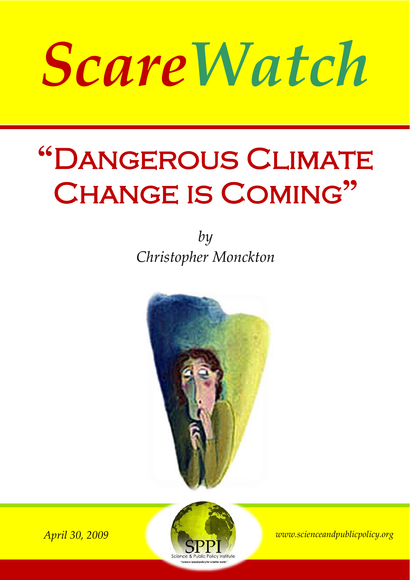## *ScareWatch*

## **"**Dangerous Climate Change is Coming**"**

*by Christopher Monckton*





*April 30, 2009 www.scienceandpublicpolicy.org*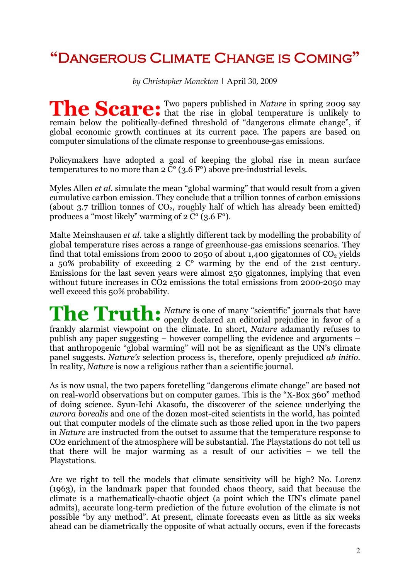## **"**Dangerous Climate Change is Coming**"**

*by Christopher Monckton |* April 30, 2009

Two papers published in *Nature* in spring 2009 say The Scare: Two papers published in *Nature* in spring 2009 say that the rise in global temperature is unlikely to remain below the politically-defined threshold of "dangerous climate change", if global economic growth continues at its current pace. The papers are based on computer simulations of the climate response to greenhouse-gas emissions.

Policymakers have adopted a goal of keeping the global rise in mean surface temperatures to no more than  $2 \overline{C}^{\circ}$  (3.6 F°) above pre-industrial levels.

Myles Allen *et al.* simulate the mean "global warming" that would result from a given cumulative carbon emission. They conclude that a trillion tonnes of carbon emissions (about 3.7 trillion tonnes of  $CO<sub>2</sub>$ , roughly half of which has already been emitted) produces a "most likely" warming of  $2 \overline{C}^{\circ}$  (3.6 F°).

Malte Meinshausen *et al.* take a slightly different tack by modelling the probability of global temperature rises across a range of greenhouse-gas emissions scenarios. They find that total emissions from 2000 to 2050 of about 1,400 gigatonnes of  $CO<sub>2</sub>$  yields a 50% probability of exceeding 2 C° warming by the end of the 21st century. Emissions for the last seven years were almost 250 gigatonnes, implying that even without future increases in CO2 emissions the total emissions from 2000-2050 may well exceed this 50% probability.

*Nature* is one of many "scientific" journals that have **The Truth:** Nature is one of many "scientific" journals that have openly declared an editorial prejudice in favor of a frankly alarmist viewpoint on the climate. In short, *Nature* adamantly refuses to publish any paper suggesting – however compelling the evidence and arguments – that anthropogenic "global warming" will not be as significant as the UN's climate panel suggests. *Nature's* selection process is, therefore, openly prejudiced *ab initio.*  In reality, *Nature* is now a religious rather than a scientific journal.

As is now usual, the two papers foretelling "dangerous climate change" are based not on real-world observations but on computer games. This is the "X-Box 360" method of doing science. Syun-Ichi Akasofu, the discoverer of the science underlying the *aurora borealis* and one of the dozen most-cited scientists in the world, has pointed out that computer models of the climate such as those relied upon in the two papers in *Nature* are instructed from the outset to assume that the temperature response to CO2 enrichment of the atmosphere will be substantial. The Playstations do not tell us that there will be major warming as a result of our activities – we tell the Playstations.

Are we right to tell the models that climate sensitivity will be high? No. Lorenz (1963), in the landmark paper that founded chaos theory, said that because the climate is a mathematically-chaotic object (a point which the UN's climate panel admits), accurate long-term prediction of the future evolution of the climate is not possible "by any method". At present, climate forecasts even as little as six weeks ahead can be diametrically the opposite of what actually occurs, even if the forecasts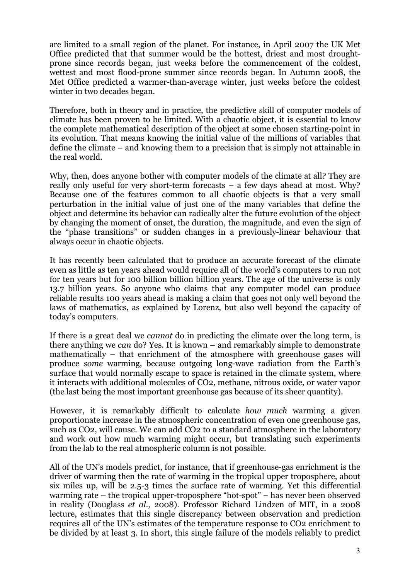are limited to a small region of the planet. For instance, in April 2007 the UK Met Office predicted that that summer would be the hottest, driest and most droughtprone since records began, just weeks before the commencement of the coldest, wettest and most flood-prone summer since records began. In Autumn 2008, the Met Office predicted a warmer-than-average winter, just weeks before the coldest winter in two decades began.

Therefore, both in theory and in practice, the predictive skill of computer models of climate has been proven to be limited. With a chaotic object, it is essential to know the complete mathematical description of the object at some chosen starting-point in its evolution. That means knowing the initial value of the millions of variables that define the climate – and knowing them to a precision that is simply not attainable in the real world.

Why, then, does anyone bother with computer models of the climate at all? They are really only useful for very short-term forecasts – a few days ahead at most. Why? Because one of the features common to all chaotic objects is that a very small perturbation in the initial value of just one of the many variables that define the object and determine its behavior can radically alter the future evolution of the object by changing the moment of onset, the duration, the magnitude, and even the sign of the "phase transitions" or sudden changes in a previously-linear behaviour that always occur in chaotic objects.

It has recently been calculated that to produce an accurate forecast of the climate even as little as ten years ahead would require all of the world's computers to run not for ten years but for 100 billion billion billion years. The age of the universe is only 13.7 billion years. So anyone who claims that any computer model can produce reliable results 100 years ahead is making a claim that goes not only well beyond the laws of mathematics, as explained by Lorenz, but also well beyond the capacity of today's computers.

If there is a great deal we *cannot* do in predicting the climate over the long term, is there anything we *can* do? Yes. It is known – and remarkably simple to demonstrate mathematically – that enrichment of the atmosphere with greenhouse gases will produce *some* warming, because outgoing long-wave radiation from the Earth's surface that would normally escape to space is retained in the climate system, where it interacts with additional molecules of CO2, methane, nitrous oxide, or water vapor (the last being the most important greenhouse gas because of its sheer quantity).

However, it is remarkably difficult to calculate *how much* warming a given proportionate increase in the atmospheric concentration of even one greenhouse gas, such as CO2, will cause. We can add CO2 to a standard atmosphere in the laboratory and work out how much warming might occur, but translating such experiments from the lab to the real atmospheric column is not possible.

All of the UN's models predict, for instance, that if greenhouse-gas enrichment is the driver of warming then the rate of warming in the tropical upper troposphere, about six miles up, will be 2.5-3 times the surface rate of warming. Yet this differential warming rate – the tropical upper-troposphere "hot-spot" – has never been observed in reality (Douglass *et al.,* 2008). Professor Richard Lindzen of MIT, in a 2008 lecture, estimates that this single discrepancy between observation and prediction requires all of the UN's estimates of the temperature response to CO2 enrichment to be divided by at least 3. In short, this single failure of the models reliably to predict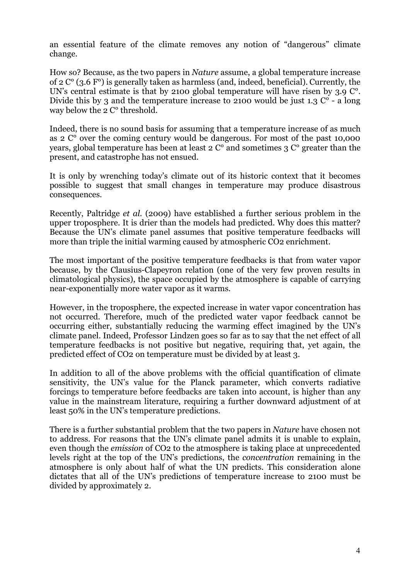an essential feature of the climate removes any notion of "dangerous" climate change.

How so? Because, as the two papers in *Nature* assume, a global temperature increase of 2 C° (3.6 F°) is generally taken as harmless (and, indeed, beneficial). Currently, the UN's central estimate is that by 2100 global temperature will have risen by 3.9 C°. Divide this by 3 and the temperature increase to 2100 would be just 1.3  $\mathbb{C}^{\circ}$  - a long way below the 2 C° threshold.

Indeed, there is no sound basis for assuming that a temperature increase of as much as 2 C° over the coming century would be dangerous. For most of the past 10,000 years, global temperature has been at least 2 C° and sometimes 3 C° greater than the present, and catastrophe has not ensued.

It is only by wrenching today's climate out of its historic context that it becomes possible to suggest that small changes in temperature may produce disastrous consequences.

Recently, Paltridge *et al.* (2009) have established a further serious problem in the upper troposphere. It is drier than the models had predicted. Why does this matter? Because the UN's climate panel assumes that positive temperature feedbacks will more than triple the initial warming caused by atmospheric CO2 enrichment.

The most important of the positive temperature feedbacks is that from water vapor because, by the Clausius-Clapeyron relation (one of the very few proven results in climatological physics), the space occupied by the atmosphere is capable of carrying near-exponentially more water vapor as it warms.

However, in the troposphere, the expected increase in water vapor concentration has not occurred. Therefore, much of the predicted water vapor feedback cannot be occurring either, substantially reducing the warming effect imagined by the UN's climate panel. Indeed, Professor Lindzen goes so far as to say that the net effect of all temperature feedbacks is not positive but negative, requiring that, yet again, the predicted effect of CO2 on temperature must be divided by at least 3.

In addition to all of the above problems with the official quantification of climate sensitivity, the UN's value for the Planck parameter, which converts radiative forcings to temperature before feedbacks are taken into account, is higher than any value in the mainstream literature, requiring a further downward adjustment of at least 50% in the UN's temperature predictions.

There is a further substantial problem that the two papers in *Nature* have chosen not to address. For reasons that the UN's climate panel admits it is unable to explain, even though the *emission* of CO2 to the atmosphere is taking place at unprecedented levels right at the top of the UN's predictions, the *concentration* remaining in the atmosphere is only about half of what the UN predicts. This consideration alone dictates that all of the UN's predictions of temperature increase to 2100 must be divided by approximately 2.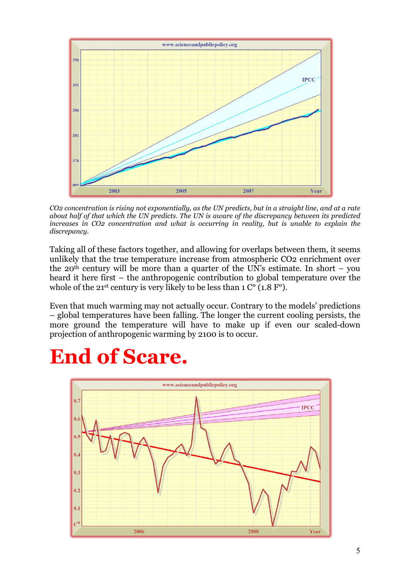

*CO2 concentration is rising not exponentially, as the UN predicts, but in a straight line, and at a rate about half of that which the UN predicts. The UN is aware of the discrepancy between its predicted increases in CO2 concentration and what is occurring in reality, but is unable to explain the discrepancy.* 

Taking all of these factors together, and allowing for overlaps between them, it seems unlikely that the true temperature increase from atmospheric CO2 enrichment over the 20<sup>th</sup> century will be more than a quarter of the UN's estimate. In short – you heard it here first – the anthropogenic contribution to global temperature over the whole of the 21<sup>st</sup> century is very likely to be less than  $1 \text{ C}^{\circ}$  (1.8 F<sup>o</sup>).

Even that much warming may not actually occur. Contrary to the models' predictions – global temperatures have been falling. The longer the current cooling persists, the more ground the temperature will have to make up if even our scaled-down projection of anthropogenic warming by 2100 is to occur.

## **End of Scare.**